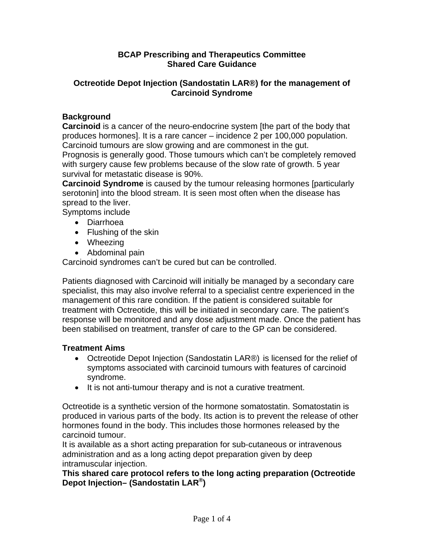### **BCAP Prescribing and Therapeutics Committee Shared Care Guidance**

### **Octreotide Depot Injection (Sandostatin LAR®) for the management of Carcinoid Syndrome**

# **Background**

**Carcinoid** is a cancer of the neuro-endocrine system [the part of the body that produces hormones]. It is a rare cancer – incidence 2 per 100,000 population. Carcinoid tumours are slow growing and are commonest in the gut. Prognosis is generally good. Those tumours which can't be completely removed with surgery cause few problems because of the slow rate of growth. 5 year

survival for metastatic disease is 90%.

**Carcinoid Syndrome** is caused by the tumour releasing hormones [particularly serotonin] into the blood stream. It is seen most often when the disease has spread to the liver.

Symptoms include

- Diarrhoea
- Flushing of the skin
- Wheezing
- Abdominal pain

Carcinoid syndromes can't be cured but can be controlled.

Patients diagnosed with Carcinoid will initially be managed by a secondary care specialist, this may also involve referral to a specialist centre experienced in the management of this rare condition. If the patient is considered suitable for treatment with Octreotide, this will be initiated in secondary care. The patient's response will be monitored and any dose adjustment made. Once the patient has been stabilised on treatment, transfer of care to the GP can be considered.

# **Treatment Aims**

- Octreotide Depot Injection (Sandostatin LAR®) is licensed for the relief of symptoms associated with carcinoid tumours with features of carcinoid syndrome.
- It is not anti-tumour therapy and is not a curative treatment.

Octreotide is a synthetic version of the hormone somatostatin. Somatostatin is produced in various parts of the body. Its action is to prevent the release of other hormones found in the body. This includes those hormones released by the carcinoid tumour.

It is available as a short acting preparation for sub-cutaneous or intravenous administration and as a long acting depot preparation given by deep intramuscular injection.

**This shared care protocol refers to the long acting preparation (Octreotide Depot Injection– (Sandostatin LAR®)**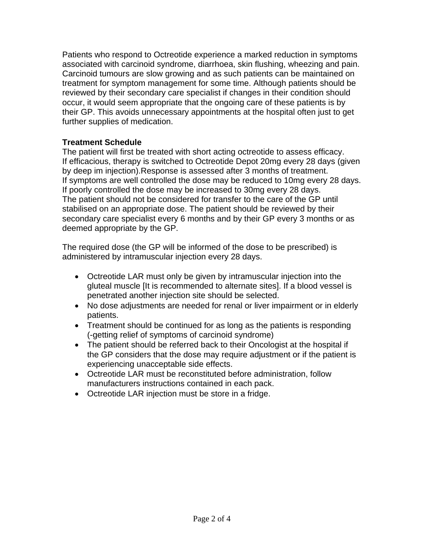Patients who respond to Octreotide experience a marked reduction in symptoms associated with carcinoid syndrome, diarrhoea, skin flushing, wheezing and pain. Carcinoid tumours are slow growing and as such patients can be maintained on treatment for symptom management for some time. Although patients should be reviewed by their secondary care specialist if changes in their condition should occur, it would seem appropriate that the ongoing care of these patients is by their GP. This avoids unnecessary appointments at the hospital often just to get further supplies of medication.

### **Treatment Schedule**

The patient will first be treated with short acting octreotide to assess efficacy. If efficacious, therapy is switched to Octreotide Depot 20mg every 28 days (given by deep im injection).Response is assessed after 3 months of treatment. If symptoms are well controlled the dose may be reduced to 10mg every 28 days. If poorly controlled the dose may be increased to 30mg every 28 days. The patient should not be considered for transfer to the care of the GP until stabilised on an appropriate dose. The patient should be reviewed by their secondary care specialist every 6 months and by their GP every 3 months or as deemed appropriate by the GP.

The required dose (the GP will be informed of the dose to be prescribed) is administered by intramuscular injection every 28 days.

- Octreotide LAR must only be given by intramuscular injection into the gluteal muscle [It is recommended to alternate sites]. If a blood vessel is penetrated another injection site should be selected.
- No dose adjustments are needed for renal or liver impairment or in elderly patients.
- Treatment should be continued for as long as the patients is responding (-getting relief of symptoms of carcinoid syndrome)
- The patient should be referred back to their Oncologist at the hospital if the GP considers that the dose may require adjustment or if the patient is experiencing unacceptable side effects.
- Octreotide LAR must be reconstituted before administration, follow manufacturers instructions contained in each pack.
- Octreotide LAR injection must be store in a fridge.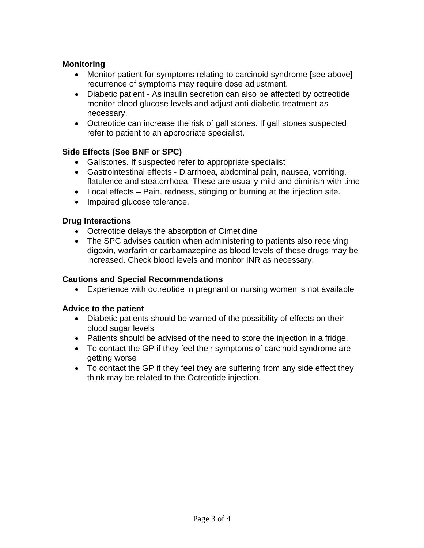# **Monitoring**

- Monitor patient for symptoms relating to carcinoid syndrome [see above] recurrence of symptoms may require dose adjustment.
- Diabetic patient As insulin secretion can also be affected by octreotide monitor blood glucose levels and adjust anti-diabetic treatment as necessary.
- Octreotide can increase the risk of gall stones. If gall stones suspected refer to patient to an appropriate specialist.

### **Side Effects (See BNF or SPC)**

- Gallstones. If suspected refer to appropriate specialist
- Gastrointestinal effects Diarrhoea, abdominal pain, nausea, vomiting, flatulence and steatorrhoea. These are usually mild and diminish with time
- Local effects Pain, redness, stinging or burning at the injection site.
- Impaired glucose tolerance.

### **Drug Interactions**

- Octreotide delays the absorption of Cimetidine
- The SPC advises caution when administering to patients also receiving digoxin, warfarin or carbamazepine as blood levels of these drugs may be increased. Check blood levels and monitor INR as necessary.

### **Cautions and Special Recommendations**

• Experience with octreotide in pregnant or nursing women is not available

### **Advice to the patient**

- Diabetic patients should be warned of the possibility of effects on their blood sugar levels
- Patients should be advised of the need to store the injection in a fridge.
- To contact the GP if they feel their symptoms of carcinoid syndrome are getting worse
- To contact the GP if they feel they are suffering from any side effect they think may be related to the Octreotide injection.